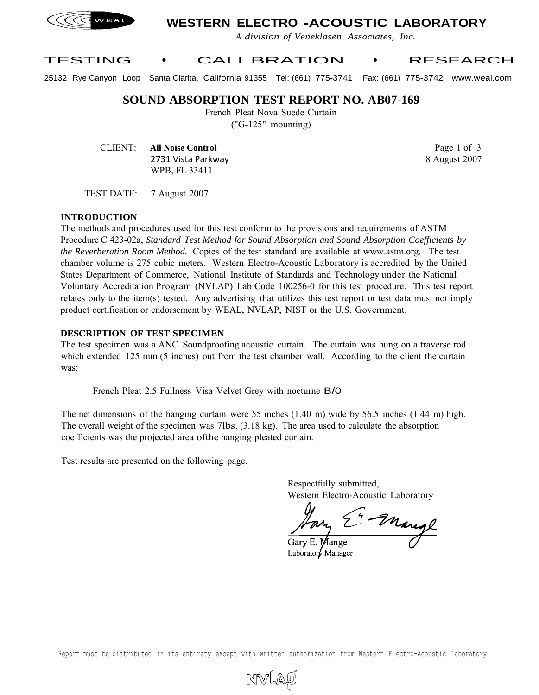

# **WESTERN ELECTRO -ACOUSTIC LABORATORY**

*A division of Veneklasen Associates, Inc.*

## TESTING • CALl BRATION • RESEARCH

25132 Rye Canyon Loop Santa Clarita, California 91355 Tel: (661) 775-3741 Fax: (661) 775-3742 www.weal.com

## **SOUND ABSORPTION TEST REPORT NO. AB07-169**

French Pleat Nova Suede Curtain

("G-125" mounting)

CLIENT: **All Noise Control** 2731 Vista Parkway WPB, FL 33411

Page 1 of 3 8 August 2007

TEST DATE: 7 August 2007

#### **INTRODUCTION**

The methods and procedures used for this test conform to the provisions and requirements of ASTM Procedure C 423-02a, *Standard Test Method for Sound Absorption and Sound Absorption Coefficients by the Reverberation Room Method.* Copies of the test standard are available at www.astm.org. The test chamber volume is 275 cubic meters. Western Electro-Acoustic Laboratory is accredited by the United States Department of Commerce, National Institute of Standards and Technology under the National Voluntary Accreditation Program (NVLAP) Lab Code 100256-0 for this test procedure. This test report relates only to the item(s) tested. Any advertising that utilizes this test report or test data must not imply product certification or endorsement by WEAL, NVLAP, NIST or the U.S. Government.

#### **DESCRIPTION OF TEST SPECIMEN**

The test specimen was a ANC Soundproofing acoustic curtain. The curtain was hung on a traverse rod which extended 125 mm (5 inches) out from the test chamber wall. According to the client the curtain was:

French Pleat 2.5 Fullness Visa Velvet Grey with nocturne B/0

The net dimensions of the hanging curtain were 55 inches (1.40 m) wide by 56.5 inches (1.44 m) high. The overall weight of the specimen was 7lbs. (3.18 kg). The area used to calculate the absorption coefficients was the projected area ofthe hanging pleated curtain.

Test results are presented on the following page.

Respectfully submitted, Western Electro-Acoustic Laboratory

- Mange

Gary E. Mange Laboratory Manager

Report must be distributed in its entirety except with written authorization from Western Electro-Acoustic Laboratory

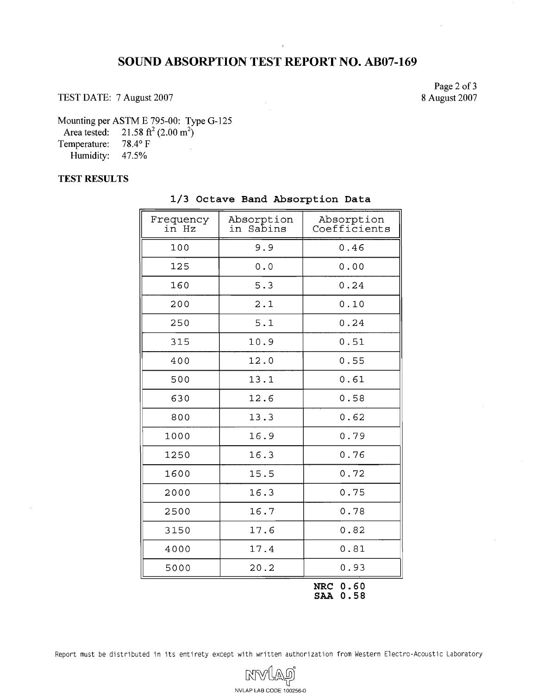# **SOUND ABSORPTION TEST REPORT NO. AB07-169**

TEST DATE: 7 August 2007

Page 2 of **3**  8 August 2007

Mounting per ASTM E 795-00: Type G-125

Area tested:  $21.58 \text{ ft}^2 (2.00 \text{ m}^2)$ <br>
Semperature:  $78.4^{\circ} \text{ F}$ 

Temperature: 78.4° F<br>Humidity: 47.5%

Humidity:

### **TEST RESULTS**

| Frequency<br>in Hz | Absorption<br>in Sabins | Absorption<br>Coefficients |
|--------------------|-------------------------|----------------------------|
| 100                | 9.9                     | 0.46                       |
| 125                | 0.0                     | 0.00                       |
| 160                | 5.3                     | 0.24                       |
| 200                | 2.1                     | 0.10                       |
| 250                | 5.1                     | 0.24                       |
| 315                | 10.9                    | 0.51                       |
| 400                | 12.0                    | 0.55                       |
| 500                | 13.1                    | 0.61                       |
| 630                | 12.6                    | 0.58                       |
| 800                | 13.3                    | 0.62                       |
| 1000               | 16.9                    | 0.79                       |
| 1250               | 16.3                    | 0.76                       |
| 1600               | 15.5                    | 0.72                       |
| 2000               | 16.3                    | 0.75                       |
| 2500               | 16.7                    | 0.78                       |
| 3150               | 17.6                    | 0.82                       |
| 4000               | 17.4                    | 0.81                       |
| 5000               | 20.2                    | 0.93                       |
|                    |                         | ሰ ደሰ<br>י סדר              |

### **1/3 Octave Band Absorption Data**

**NRC 0.60 SAA 0.58** 

Report must be distributed in its entirety except with written authorization from Western Electro-Acoustic Laboratory